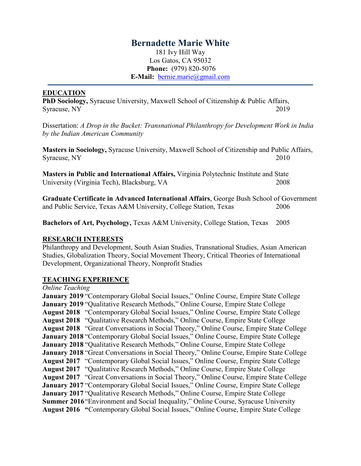# **Bernadette Marie White**

181 Ivy Hill Way Los Gatos, CA 95032 **Phone:** (979) 820-5076 **E-Mail:** [bernie.marie@gmail.com](mailto:bernie.marie@gmail.com)

#### **EDUCATION**

**PhD Sociology,** Syracuse University, Maxwell School of Citizenship & Public Affairs, Syracuse, NY 2019

Dissertation: *A Drop in the Bucket: Transnational Philanthropy for Development Work in India by the Indian American Community*

**Masters in Sociology,** Syracuse University, Maxwell School of Citizenship and Public Affairs, Syracuse, NY 2010

**Masters in Public and International Affairs,** Virginia Polytechnic Institute and State University (Virginia Tech), Blacksburg, VA 2008

**Graduate Certificate in Advanced International Affairs**, George Bush School of Government and Public Service, Texas A&M University, College Station, Texas 2006

**Bachelors of Art, Psychology,** Texas A&M University, College Station, Texas 2005

#### **RESEARCH INTERESTS**

Philanthropy and Development, South Asian Studies, Transnational Studies, Asian American Studies, Globalization Theory, Social Movement Theory, Critical Theories of International Development, Organizational Theory, Nonprofit Studies

#### **TEACHING EXPERIENCE**

*Online Teaching* 

**January 2019** "Contemporary Global Social Issues," Online Course, Empire State College **January 2019** "Qualitative Research Methods," Online Course, Empire State College **August 2018** "Contemporary Global Social Issues," Online Course, Empire State College **August 2018** "Qualitative Research Methods," Online Course, Empire State College **August 2018** "Great Conversations in Social Theory," Online Course, Empire State College **January 2018** "Contemporary Global Social Issues," Online Course, Empire State College **January 2018** "Qualitative Research Methods," Online Course, Empire State College **January 2018** "Great Conversations in Social Theory," Online Course, Empire State College **August 2017** "Contemporary Global Social Issues," Online Course, Empire State College **August 2017** "Qualitative Research Methods," Online Course, Empire State College **August 2017** "Great Conversations in Social Theory," Online Course, Empire State College **January 2017** "Contemporary Global Social Issues," Online Course, Empire State College **January 2017** "Qualitative Research Methods," Online Course, Empire State College **Summer 2016** "Environment and Social Inequality," Online Course, Syracuse University **August 2016 "**Contemporary Global Social Issues," Online Course, Empire State College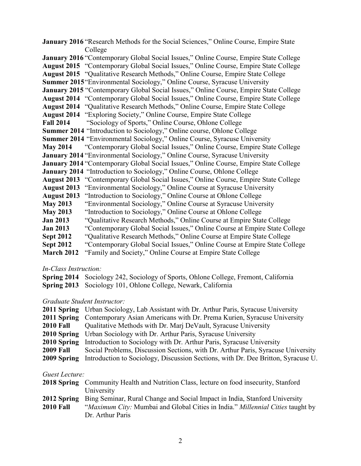**January 2016** "Research Methods for the Social Sciences," Online Course, Empire State College **January 2016** "Contemporary Global Social Issues," Online Course, Empire State College **August 2015** "Contemporary Global Social Issues," Online Course, Empire State College **August 2015** "Qualitative Research Methods," Online Course, Empire State College **Summer 2015**"Environmental Sociology," Online Course, Syracuse University **January 2015** "Contemporary Global Social Issues," Online Course, Empire State College **August 2014** "Contemporary Global Social Issues," Online Course, Empire State College **August 2014** "Qualitative Research Methods," Online Course, Empire State College **August 2014** "Exploring Society," Online Course, Empire State College **Fall 2014** "Sociology of Sports," Online Course, Ohlone College **Summer 2014** "Introduction to Sociology," Online course, Ohlone College **Summer 2014** "Environmental Sociology," Online Course, Syracuse University **May 2014** "Contemporary Global Social Issues," Online Course, Empire State College **January 2014** "Environmental Sociology," Online Course, Syracuse University **January 2014** "Contemporary Global Social Issues," Online Course, Empire State College **January 2014** "Introduction to Sociology," Online Course, Ohlone College **August 2013** "Contemporary Global Social Issues," Online Course, Empire State College **August 2013** "Environmental Sociology," Online Course at Syracuse University **August 2013** "Introduction to Sociology," Online Course at Ohlone College **May 2013** "Environmental Sociology," Online Course at Syracuse University **May 2013** "Introduction to Sociology," Online Course at Ohlone College **Jan 2013** "Qualitative Research Methods," Online Course at Empire State College **Jan 2013** "Contemporary Global Social Issues," Online Course at Empire State College **Sept 2012** "Qualitative Research Methods," Online Course at Empire State College **Sept 2012** "Contemporary Global Social Issues," Online Course at Empire State College **March 2012** "Family and Society," Online Course at Empire State College

#### *In-Class Instruction:*

| <b>Spring 2014</b> Sociology 242, Sociology of Sports, Ohlone College, Fremont, California |
|--------------------------------------------------------------------------------------------|
| <b>Spring 2013</b> Sociology 101, Ohlone College, Newark, California                       |

#### *Graduate Student Instructor:*

|                  | <b>2011 Spring</b> Urban Sociology, Lab Assistant with Dr. Arthur Paris, Syracuse University |
|------------------|----------------------------------------------------------------------------------------------|
|                  | 2011 Spring Contemporary Asian Americans with Dr. Prema Kurien, Syracuse University          |
| <b>2010 Fall</b> | Qualitative Methods with Dr. Mari DeVault, Syracuse University                               |
|                  | <b>2010 Spring</b> Urban Sociology with Dr. Arthur Paris, Syracuse University                |
| 2010 Spring      | Introduction to Sociology with Dr. Arthur Paris, Syracuse University                         |
| <b>2009 Fall</b> | Social Problems, Discussion Sections, with Dr. Arthur Paris, Syracuse University             |
| 2009 Spring      | Introduction to Sociology, Discussion Sections, with Dr. Dee Britton, Syracuse U.            |

#### *Guest Lecture:*

| <b>2018 Spring</b> Community Health and Nutrition Class, lecture on food insecurity, Stanford |                       |  |  |                     |  |
|-----------------------------------------------------------------------------------------------|-----------------------|--|--|---------------------|--|
|                                                                                               | University            |  |  |                     |  |
| $\bullet$ $\bullet$ $\bullet$ $\bullet$ $\bullet$                                             | $\mathbf{r}$ $\alpha$ |  |  | $10.3333$ $10.3333$ |  |

|                  | 2012 Spring Bing Seminar, Rural Change and Social Impact in India, Stanford University       |
|------------------|----------------------------------------------------------------------------------------------|
| <b>2010 Fall</b> | <i>"Maximum City:</i> Mumbai and Global Cities in India." <i>Millennial Cities</i> taught by |
|                  | Dr. Arthur Paris                                                                             |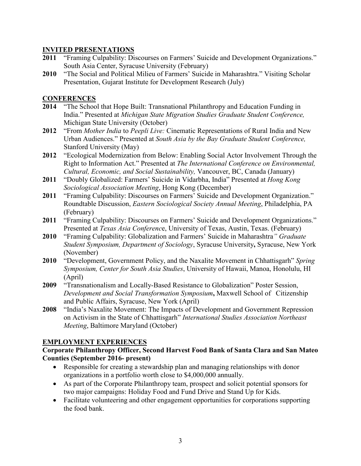### **INVITED PRESENTATIONS**

- **2011** "Framing Culpability: Discourses on Farmers' Suicide and Development Organizations." South Asia Center, Syracuse University (February)
- **2010** "The Social and Political Milieu of Farmers' Suicide in Maharashtra." Visiting Scholar Presentation, Gujarat Institute for Development Research (July)

### **CONFERENCES**

- **2014** "The School that Hope Built: Transnational Philanthropy and Education Funding in India." Presented at *Michigan State Migration Studies Graduate Student Conference,*  Michigan State University (October)
- **2012** "From *Mother India* to *Peepli Live:* Cinematic Representations of Rural India and New Urban Audiences." Presented at *South Asia by the Bay Graduate Student Conference,*  Stanford University (May)
- **2012** "Ecological Modernization from Below: Enabling Social Actor Involvement Through the Right to Information Act." Presented at *The International Conference on Environmental, Cultural, Economic, and Social Sustainability,* Vancouver, BC, Canada (January)
- **2011** "Doubly Globalized: Farmers' Suicide in Vidarbha, India" Presented at *Hong Kong Sociological Association Meeting*, Hong Kong (December)
- **2011** "Framing Culpability: Discourses on Farmers' Suicide and Development Organization." Roundtable Discussion, *Eastern Sociological Society Annual Meeting*, Philadelphia, PA (February)
- **2011** "Framing Culpability: Discourses on Farmers' Suicide and Development Organizations." Presented at *Texas Asia Conferenc*e, University of Texas, Austin, Texas. (February)
- **2010** "Framing Culpability: Globalization and Farmers' Suicide in Maharashtra*" Graduate Student Symposium, Department of Sociology*, Syracuse University**,** Syracuse, New York (November)
- **2010** "Development, Government Policy, and the Naxalite Movement in Chhattisgarh" *Spring Symposium, Center for South Asia Studies*, University of Hawaii, Manoa, Honolulu, HI (April)
- **2009** "Transnationalism and Locally-Based Resistance to Globalization" Poster Session, *Development and Social Transformation Symposium***,** Maxwell School of Citizenship and Public Affairs, Syracuse, New York (April)
- **2008** "India's Naxalite Movement: The Impacts of Development and Government Repression on Activism in the State of Chhattisgarh" *International Studies Association Northeast Meeting*, Baltimore Maryland (October)

## **EMPLOYMENT EXPERIENCES**

#### **Corporate Philanthropy Officer, Second Harvest Food Bank of Santa Clara and San Mateo Counties (September 2016- present)**

- Responsible for creating a stewardship plan and managing relationships with donor organizations in a portfolio worth close to \$4,000,000 annually.
- As part of the Corporate Philanthropy team, prospect and solicit potential sponsors for two major campaigns: Holiday Food and Fund Drive and Stand Up for Kids.
- Facilitate volunteering and other engagement opportunities for corporations supporting the food bank.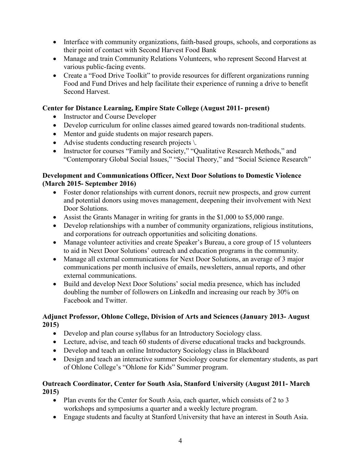- Interface with community organizations, faith-based groups, schools, and corporations as their point of contact with Second Harvest Food Bank
- Manage and train Community Relations Volunteers, who represent Second Harvest at various public-facing events.
- Create a "Food Drive Toolkit" to provide resources for different organizations running Food and Fund Drives and help facilitate their experience of running a drive to benefit Second Harvest.

## **Center for Distance Learning, Empire State College (August 2011- present)**

- Instructor and Course Developer
- Develop curriculum for online classes aimed geared towards non-traditional students.
- Mentor and guide students on major research papers.
- Advise students conducting research projects  $\setminus$ .
- Instructor for courses "Family and Society," "Qualitative Research Methods," and "Contemporary Global Social Issues," "Social Theory," and "Social Science Research"

### **Development and Communications Officer, Next Door Solutions to Domestic Violence (March 2015- September 2016)**

- Foster donor relationships with current donors, recruit new prospects, and grow current and potential donors using moves management, deepening their involvement with Next Door Solutions.
- Assist the Grants Manager in writing for grants in the \$1,000 to \$5,000 range.
- Develop relationships with a number of community organizations, religious institutions, and corporations for outreach opportunities and soliciting donations.
- Manage volunteer activities and create Speaker's Bureau, a core group of 15 volunteers to aid in Next Door Solutions' outreach and education programs in the community.
- Manage all external communications for Next Door Solutions, an average of 3 major communications per month inclusive of emails, newsletters, annual reports, and other external communications.
- Build and develop Next Door Solutions' social media presence, which has included doubling the number of followers on LinkedIn and increasing our reach by 30% on Facebook and Twitter.

### **Adjunct Professor, Ohlone College, Division of Arts and Sciences (January 2013- August 2015)**

- Develop and plan course syllabus for an Introductory Sociology class.
- Lecture, advise, and teach 60 students of diverse educational tracks and backgrounds.
- Develop and teach an online Introductory Sociology class in Blackboard
- Design and teach an interactive summer Sociology course for elementary students, as part of Ohlone College's "Ohlone for Kids" Summer program.

## **Outreach Coordinator, Center for South Asia, Stanford University (August 2011- March 2015)**

- Plan events for the Center for South Asia, each quarter, which consists of 2 to 3 workshops and symposiums a quarter and a weekly lecture program.
- Engage students and faculty at Stanford University that have an interest in South Asia.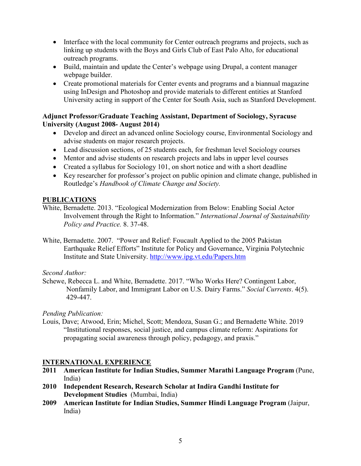- Interface with the local community for Center outreach programs and projects, such as linking up students with the Boys and Girls Club of East Palo Alto, for educational outreach programs.
- Build, maintain and update the Center's webpage using Drupal, a content manager webpage builder.
- Create promotional materials for Center events and programs and a biannual magazine using InDesign and Photoshop and provide materials to different entities at Stanford University acting in support of the Center for South Asia, such as Stanford Development.

### **Adjunct Professor/Graduate Teaching Assistant, Department of Sociology, Syracuse University (August 2008- August 2014)**

- Develop and direct an advanced online Sociology course, Environmental Sociology and advise students on major research projects.
- Lead discussion sections, of 25 students each, for freshman level Sociology courses
- Mentor and advise students on research projects and labs in upper level courses
- Created a syllabus for Sociology 101, on short notice and with a short deadline
- Key researcher for professor's project on public opinion and climate change, published in Routledge's *Handbook of Climate Change and Society.*

## **PUBLICATIONS**

- White, Bernadette. 2013. "Ecological Modernization from Below: Enabling Social Actor Involvement through the Right to Information." *International Journal of Sustainability Policy and Practice.* 8. 37-48.
- White, Bernadette. 2007. "Power and Relief: Foucault Applied to the 2005 Pakistan Earthquake Relief Efforts" Institute for Policy and Governance, Virginia Polytechnic Institute and State University.<http://www.ipg.vt.edu/Papers.htm>

*Second Author:* 

Schewe, Rebecca L. and White, Bernadette. 2017. "Who Works Here? Contingent Labor, Nonfamily Labor, and Immigrant Labor on U.S. Dairy Farms." *Social Currents*. 4(5). 429-447.

*Pending Publication:* 

Louis, Dave; Atwood, Erin; Michel, Scott; Mendoza, Susan G.; and Bernadette White. 2019 "Institutional responses, social justice, and campus climate reform: Aspirations for propagating social awareness through policy, pedagogy, and praxis."

# **INTERNATIONAL EXPERIENCE**

- **2011 American Institute for Indian Studies, Summer Marathi Language Program** (Pune, India)
- **2010 Independent Research, Research Scholar at Indira Gandhi Institute for Development Studies** (Mumbai, India)
- **2009 American Institute for Indian Studies, Summer Hindi Language Program** (Jaipur, India)